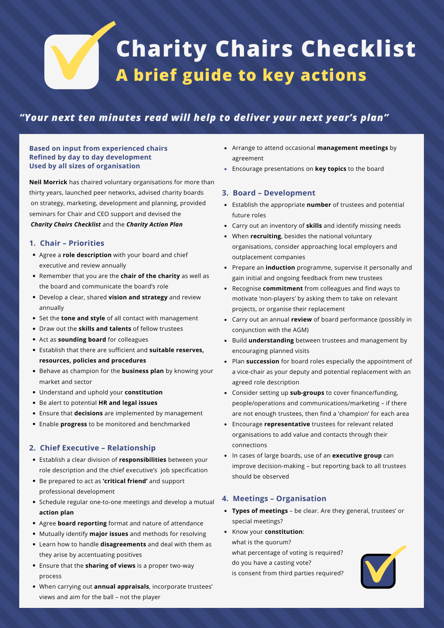# **Charity Chairs Checklist A brief guide to key actions**

## *"Your next ten minutes read will help to deliver your next year's plan"*

#### **Based on input from experienced chairs Refined by day to day development Used by all sizes of organisation**

**Neil Morrick** has chaired voluntary organisations for more than thirty years, launched peer networks, advised charity boards on strategy, marketing, development and planning, provided seminars for Chair and CEO support and devised the *Charity Chairs Checklist* and the *Charity Action Plan*

#### **1. Chair – Priorities**

- Agree a **role description** with your board and chief executive and review annually
- Remember that you are the **chair of the charity** as well as the board and communicate the board's role
- Develop a clear, shared **vision and strategy** and review annually
- Set the **tone and style** of all contact with management
- Draw out the **skills and talents** of fellow trustees
- Act as **sounding board** for colleagues
- Establish that there are sufficient and **suitable reserves, resources, policies and procedures**
- Behave as champion for the **business plan** by knowing your market and sector
- Understand and uphold your **constitution**
- Be alert to potential **HR and legal issues**
- Ensure that **decisions** are implemented by management
- Enable **progress** to be monitored and benchmarked

#### **2. Chief Executive – Relationship**

- Establish a clear division of **responsibilities** between your role description and the chief executive's job specification
- Be prepared to act as **'critical friend'** and support professional development
- Schedule regular one-to-one meetings and develop a mutual **action plan**
- Agree **board reporting** format and nature of attendance
- Mutually identify **major issues** and methods for resolving
- Learn how to handle **disagreements** and deal with them as they arise by accentuating positives
- Ensure that the **sharing of views** is a proper two-way process
- When carrying out **annual appraisals**, incorporate trustees' views and aim for the ball – not the player
- Arrange to attend occasional **management meetings** by agreement
- Encourage presentations on **key topics** to the board

#### **3. Board – Development**

- Establish the appropriate **number** of trustees and potential future roles
- Carry out an inventory of **skills** and identify missing needs
- When **recruiting**, besides the national voluntary organisations, consider approaching local employers and outplacement companies
- Prepare an **induction** programme, supervise it personally and gain initial and ongoing feedback from new trustees
- Recognise **commitment** from colleagues and find ways to motivate 'non-players' by asking them to take on relevant projects, or organise their replacement
- Carry out an annual **review** of board performance (possibly in conjunction with the AGM)
- Build **understanding** between trustees and management by encouraging planned visits
- Plan **succession** for board roles especially the appointment of a vice-chair as your deputy and potential replacement with an agreed role description
- Consider setting up **sub-groups** to cover finance/funding, people/operations and communications/marketing – if there are not enough trustees, then find a 'champion' for each area
- Encourage **representative** trustees for relevant related organisations to add value and contacts through their connections
- In cases of large boards, use of an **executive group** can improve decision-making – but reporting back to all trustees should be observed

#### **4. Meetings – Organisation**

- **Types of meetings** be clear. Are they general, trustees' or special meetings?
- Know your **constitution**:

what is the quorum? what percentage of voting is required? do you have a casting vote? is consent from third parties required?

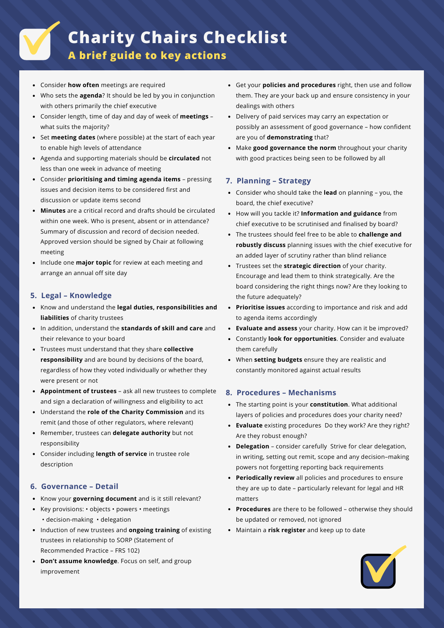# **Charity Chairs Checklist**

**A brief guide to key actions**

- Consider **how often** meetings are required
- Who sets the **agenda**? It should be led by you in conjunction with others primarily the chief executive
- Consider length, time of day and day of week of **meetings** what suits the majority?
- Set **meeting dates** (where possible) at the start of each year to enable high levels of attendance
- Agenda and supporting materials should be **circulated** not less than one week in advance of meeting
- Consider **prioritising and timing agenda items** pressing issues and decision items to be considered first and discussion or update items second
- **Minutes** are a critical record and drafts should be circulated  $\bullet$ within one week. Who is present, absent or in attendance? Summary of discussion and record of decision needed. Approved version should be signed by Chair at following meeting
- Include one **major topic** for review at each meeting and arrange an annual off site day

#### **5. Legal – Knowledge**

- Know and understand the **legal duties, responsibilities and liabilities** of charity trustees
- In addition, understand the **standards of skill and care** and their relevance to your board
- Trustees must understand that they share **collective responsibility** and are bound by decisions of the board, regardless of how they voted individually or whether they were present or not
- **Appointment of trustees** ask all new trustees to complete and sign a declaration of willingness and eligibility to act
- Understand the **role of the Charity Commission** and its remit (and those of other regulators, where relevant)
- Remember, trustees can **delegate authority** but not responsibility
- Consider including **length of service** in trustee role description

#### **6. Governance – Detail**

- Know your **governing document** and is it still relevant?
- Key provisions: objects powers meetings • decision-making • delegation
- Induction of new trustees and **ongoing training** of existing trustees in relationship to SORP (Statement of Recommended Practice – FRS 102)
- $\bullet$ **Don't assume knowledge**. Focus on self, and group improvement
- Get your **policies and procedures** right, then use and follow them. They are your back up and ensure consistency in your dealings with others
- Delivery of paid services may carry an expectation or possibly an assessment of good governance – how confident are you of **demonstrating** that?
- Make **good governance the norm** throughout your charity with good practices being seen to be followed by all

#### **7. Planning – Strategy**

- Consider who should take the **lead** on planning you, the board, the chief executive?
- How will you tackle it? **Information and guidance** from chief executive to be scrutinised and finalised by board?
- The trustees should feel free to be able to **challenge and robustly discuss** planning issues with the chief executive for an added layer of scrutiny rather than blind reliance
- Trustees set the **strategic direction** of your charity. Encourage and lead them to think strategically. Are the board considering the right things now? Are they looking to the future adequately?
- **Prioritise issues** according to importance and risk and add to agenda items accordingly
- **Evaluate and assess** your charity. How can it be improved?
- Constantly **look for opportunities**. Consider and evaluate them carefully
- When **setting budgets** ensure they are realistic and constantly monitored against actual results

#### **8. Procedures – Mechanisms**

- The starting point is your **constitution**. What additional layers of policies and procedures does your charity need?
- **Evaluate** existing procedures Do they work? Are they right? Are they robust enough?
- **Delegation** consider carefully Strive for clear delegation, in writing, setting out remit, scope and any decision–making powers not forgetting reporting back requirements
- **Periodically review** all policies and procedures to ensure they are up to date – particularly relevant for legal and HR matters
- **Procedures** are there to be followed otherwise they should be updated or removed, not ignored
- Maintain a **risk register** and keep up to date

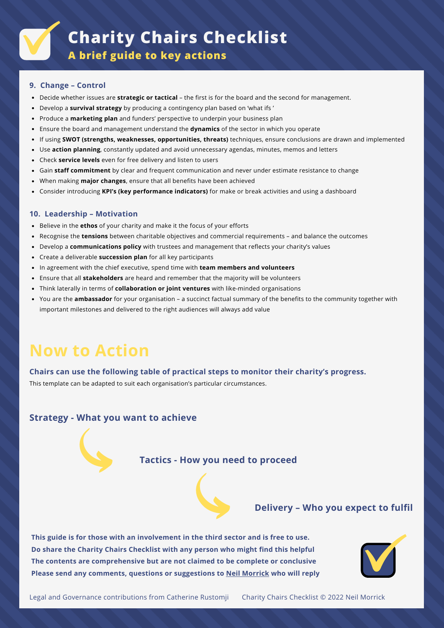**9. Change – Control**

- Decide whether issues are **strategic or tactical** the first is for the board and the second for management.
- Develop a **survival strategy** by producing a contingency plan based on 'what ifs '
- Produce a **marketing plan** and funders' perspective to underpin your business plan
- Ensure the board and management understand the **dynamics** of the sector in which you operate
- If using **SWOT (strengths, weaknesses, opportunities, threats)** techniques, ensure conclusions are drawn and implemented
- Use **action planning**, constantly updated and avoid unnecessary agendas, minutes, memos and letters
- Check **service levels** even for free delivery and listen to users
- Gain **staff commitment** by clear and frequent communication and never under estimate resistance to change
- When making **major changes**, ensure that all benefits have been achieved
- Consider introducing **KPI's (key performance indicators)** for make or break activities and using a dashboard

#### **10. Leadership – Motivation**

- Believe in the **ethos** of your charity and make it the focus of your efforts
- Recognise the **tensions** between charitable objectives and commercial requirements and balance the outcomes
- Develop a **communications policy** with trustees and management that reflects your charity's values
- Create a deliverable **succession plan** for all key participants
- In agreement with the chief executive, spend time with **team members and volunteers**
- Ensure that all **stakeholders** are heard and remember that the majority will be volunteers
- Think laterally in terms of **collaboration or joint ventures** with like-minded organisations
- You are the **ambassador** for your organisation a succinct factual summary of the benefits to the community together with important milestones and delivered to the right audiences will always add value

# **Now to Action**

#### **Chairs can use the following table of practical steps to monitor their charity's progress.**

This template can be adapted to suit each organisation's particular circumstances.

### **Strategy - What you want to achieve**

## **Tactics - How you need to proceed**

### **Delivery – Who you expect to fulfil**

**This guide is for those with an involvement in the third sector and is free to use. Do share the Charity Chairs Checklist with any person who might find this helpful The contents are comprehensive but are not claimed to be complete or conclusive Please send any comments, questions or suggestions to Neil [Morrick](mailto:neilmorrick40@gmail.com?subject=Charity%20Chairs%20Checklist) who will reply**